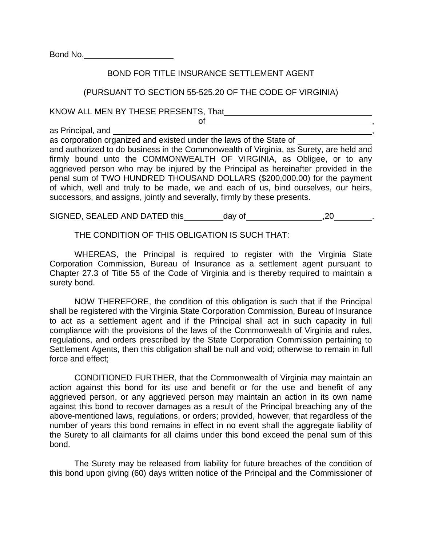Bond No.

## BOND FOR TITLE INSURANCE SETTLEMENT AGENT

## (PURSUANT TO SECTION 55-525.20 OF THE CODE OF VIRGINIA)

KNOW ALL MEN BY THESE PRESENTS, That

 $\overline{\mathsf{d}}$  , and  $\overline{\mathsf{d}}$  , and  $\overline{\mathsf{d}}$  , and  $\overline{\mathsf{d}}$  , and  $\overline{\mathsf{d}}$  , and  $\overline{\mathsf{d}}$ as Principal, and

as corporation organized and existed under the laws of the State of and authorized to do business in the Commonwealth of Virginia, as Surety, are held and firmly bound unto the COMMONWEALTH OF VIRGINIA, as Obligee, or to any aggrieved person who may be injured by the Principal as hereinafter provided in the penal sum of TWO HUNDRED THOUSAND DOLLARS (\$200,000.00) for the payment of which, well and truly to be made, we and each of us, bind ourselves, our heirs, successors, and assigns, jointly and severally, firmly by these presents.

SIGNED, SEALED AND DATED this day of  $\sim$ , 20 .

THE CONDITION OF THIS OBLIGATION IS SUCH THAT:

 WHEREAS, the Principal is required to register with the Virginia State Corporation Commission, Bureau of Insurance as a settlement agent pursuant to Chapter 27.3 of Title 55 of the Code of Virginia and is thereby required to maintain a surety bond.

 NOW THEREFORE, the condition of this obligation is such that if the Principal shall be registered with the Virginia State Corporation Commission, Bureau of Insurance to act as a settlement agent and if the Principal shall act in such capacity in full compliance with the provisions of the laws of the Commonwealth of Virginia and rules, regulations, and orders prescribed by the State Corporation Commission pertaining to Settlement Agents, then this obligation shall be null and void; otherwise to remain in full force and effect;

 CONDITIONED FURTHER, that the Commonwealth of Virginia may maintain an action against this bond for its use and benefit or for the use and benefit of any aggrieved person, or any aggrieved person may maintain an action in its own name against this bond to recover damages as a result of the Principal breaching any of the above-mentioned laws, regulations, or orders; provided, however, that regardless of the number of years this bond remains in effect in no event shall the aggregate liability of the Surety to all claimants for all claims under this bond exceed the penal sum of this bond.

 The Surety may be released from liability for future breaches of the condition of this bond upon giving (60) days written notice of the Principal and the Commissioner of